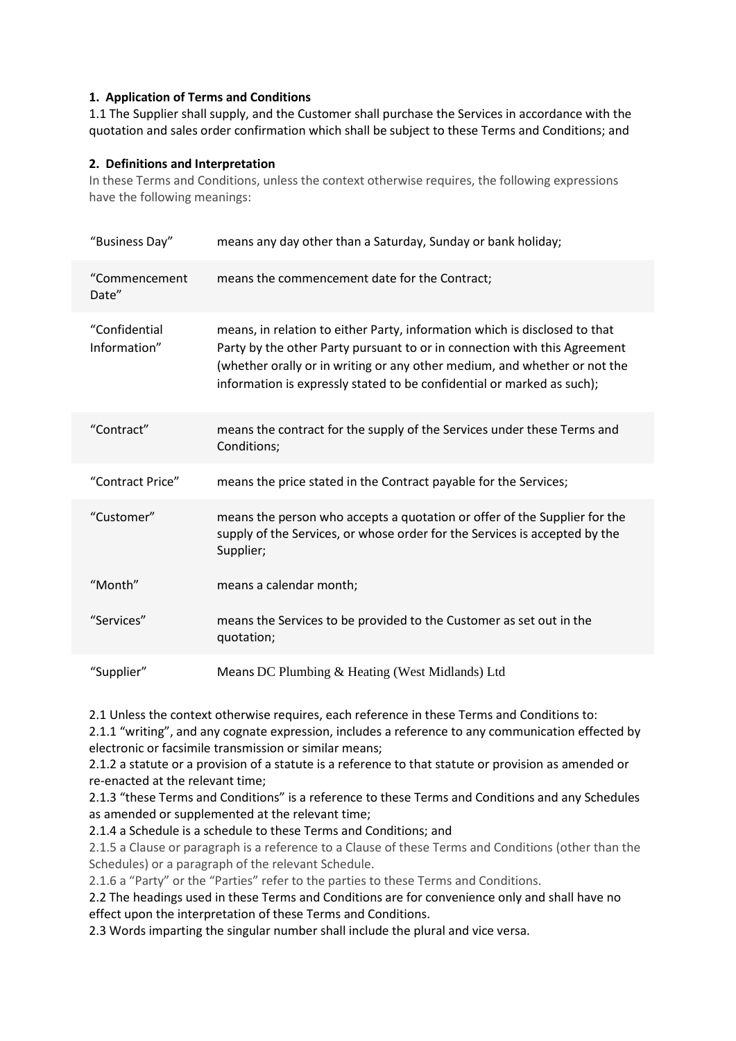### **1. Application of Terms and Conditions**

1.1 The Supplier shall supply, and the Customer shall purchase the Services in accordance with the quotation and sales order confirmation which shall be subject to these Terms and Conditions; and

### **2. Definitions and Interpretation**

In these Terms and Conditions, unless the context otherwise requires, the following expressions have the following meanings:

| "Business Day"                | means any day other than a Saturday, Sunday or bank holiday;                                                                                                                                                                                                                                                   |
|-------------------------------|----------------------------------------------------------------------------------------------------------------------------------------------------------------------------------------------------------------------------------------------------------------------------------------------------------------|
| "Commencement<br>Date"        | means the commencement date for the Contract;                                                                                                                                                                                                                                                                  |
| "Confidential<br>Information" | means, in relation to either Party, information which is disclosed to that<br>Party by the other Party pursuant to or in connection with this Agreement<br>(whether orally or in writing or any other medium, and whether or not the<br>information is expressly stated to be confidential or marked as such); |
| "Contract"                    | means the contract for the supply of the Services under these Terms and<br>Conditions;                                                                                                                                                                                                                         |
| "Contract Price"              | means the price stated in the Contract payable for the Services;                                                                                                                                                                                                                                               |
| "Customer"                    | means the person who accepts a quotation or offer of the Supplier for the<br>supply of the Services, or whose order for the Services is accepted by the<br>Supplier;                                                                                                                                           |
| "Month"                       | means a calendar month;                                                                                                                                                                                                                                                                                        |
| "Services"                    | means the Services to be provided to the Customer as set out in the<br>quotation;                                                                                                                                                                                                                              |
| "Supplier"                    | Means DC Plumbing & Heating (West Midlands) Ltd                                                                                                                                                                                                                                                                |

2.1 Unless the context otherwise requires, each reference in these Terms and Conditions to:

2.1.1 "writing", and any cognate expression, includes a reference to any communication effected by electronic or facsimile transmission or similar means;

2.1.2 a statute or a provision of a statute is a reference to that statute or provision as amended or re-enacted at the relevant time;

2.1.3 "these Terms and Conditions" is a reference to these Terms and Conditions and any Schedules as amended or supplemented at the relevant time;

2.1.4 a Schedule is a schedule to these Terms and Conditions; and

2.1.5 a Clause or paragraph is a reference to a Clause of these Terms and Conditions (other than the Schedules) or a paragraph of the relevant Schedule.

2.1.6 a "Party" or the "Parties" refer to the parties to these Terms and Conditions.

2.2 The headings used in these Terms and Conditions are for convenience only and shall have no effect upon the interpretation of these Terms and Conditions.

2.3 Words imparting the singular number shall include the plural and vice versa.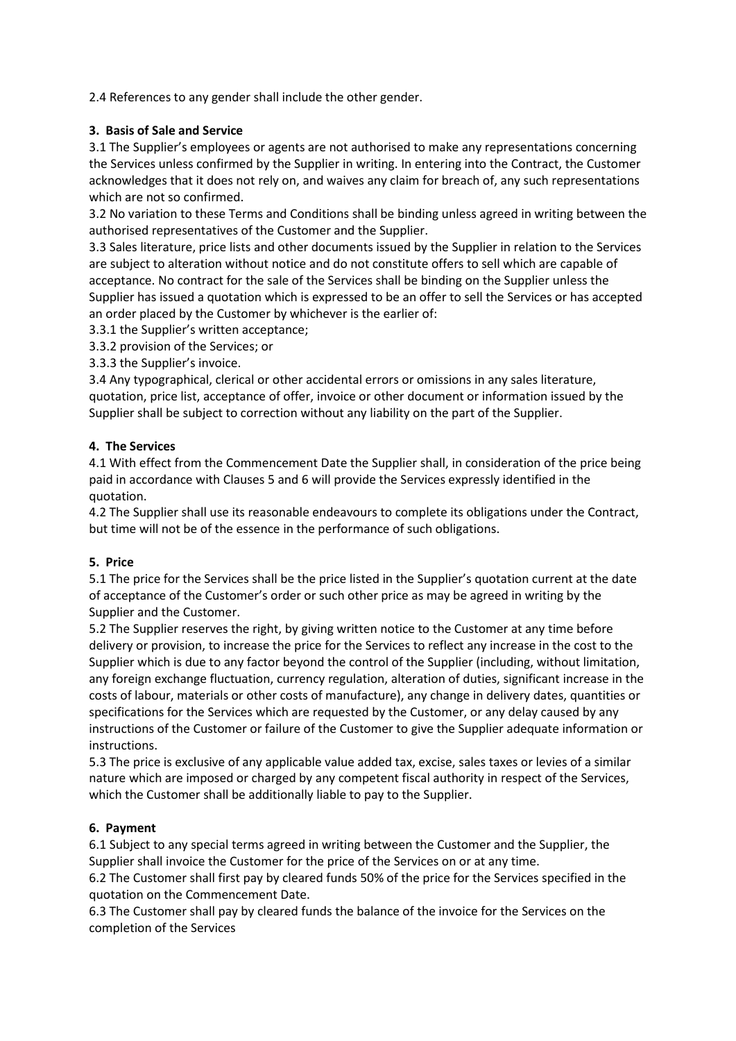2.4 References to any gender shall include the other gender.

# **3. Basis of Sale and Service**

3.1 The Supplier's employees or agents are not authorised to make any representations concerning the Services unless confirmed by the Supplier in writing. In entering into the Contract, the Customer acknowledges that it does not rely on, and waives any claim for breach of, any such representations which are not so confirmed.

3.2 No variation to these Terms and Conditions shall be binding unless agreed in writing between the authorised representatives of the Customer and the Supplier.

3.3 Sales literature, price lists and other documents issued by the Supplier in relation to the Services are subject to alteration without notice and do not constitute offers to sell which are capable of acceptance. No contract for the sale of the Services shall be binding on the Supplier unless the Supplier has issued a quotation which is expressed to be an offer to sell the Services or has accepted an order placed by the Customer by whichever is the earlier of:

3.3.1 the Supplier's written acceptance;

3.3.2 provision of the Services; or

3.3.3 the Supplier's invoice.

3.4 Any typographical, clerical or other accidental errors or omissions in any sales literature, quotation, price list, acceptance of offer, invoice or other document or information issued by the Supplier shall be subject to correction without any liability on the part of the Supplier.

### **4. The Services**

4.1 With effect from the Commencement Date the Supplier shall, in consideration of the price being paid in accordance with Clauses 5 and 6 will provide the Services expressly identified in the quotation.

4.2 The Supplier shall use its reasonable endeavours to complete its obligations under the Contract, but time will not be of the essence in the performance of such obligations.

# **5. Price**

5.1 The price for the Services shall be the price listed in the Supplier's quotation current at the date of acceptance of the Customer's order or such other price as may be agreed in writing by the Supplier and the Customer.

5.2 The Supplier reserves the right, by giving written notice to the Customer at any time before delivery or provision, to increase the price for the Services to reflect any increase in the cost to the Supplier which is due to any factor beyond the control of the Supplier (including, without limitation, any foreign exchange fluctuation, currency regulation, alteration of duties, significant increase in the costs of labour, materials or other costs of manufacture), any change in delivery dates, quantities or specifications for the Services which are requested by the Customer, or any delay caused by any instructions of the Customer or failure of the Customer to give the Supplier adequate information or instructions.

5.3 The price is exclusive of any applicable value added tax, excise, sales taxes or levies of a similar nature which are imposed or charged by any competent fiscal authority in respect of the Services, which the Customer shall be additionally liable to pay to the Supplier.

#### **6. Payment**

6.1 Subject to any special terms agreed in writing between the Customer and the Supplier, the Supplier shall invoice the Customer for the price of the Services on or at any time.

6.2 The Customer shall first pay by cleared funds 50% of the price for the Services specified in the quotation on the Commencement Date.

6.3 The Customer shall pay by cleared funds the balance of the invoice for the Services on the completion of the Services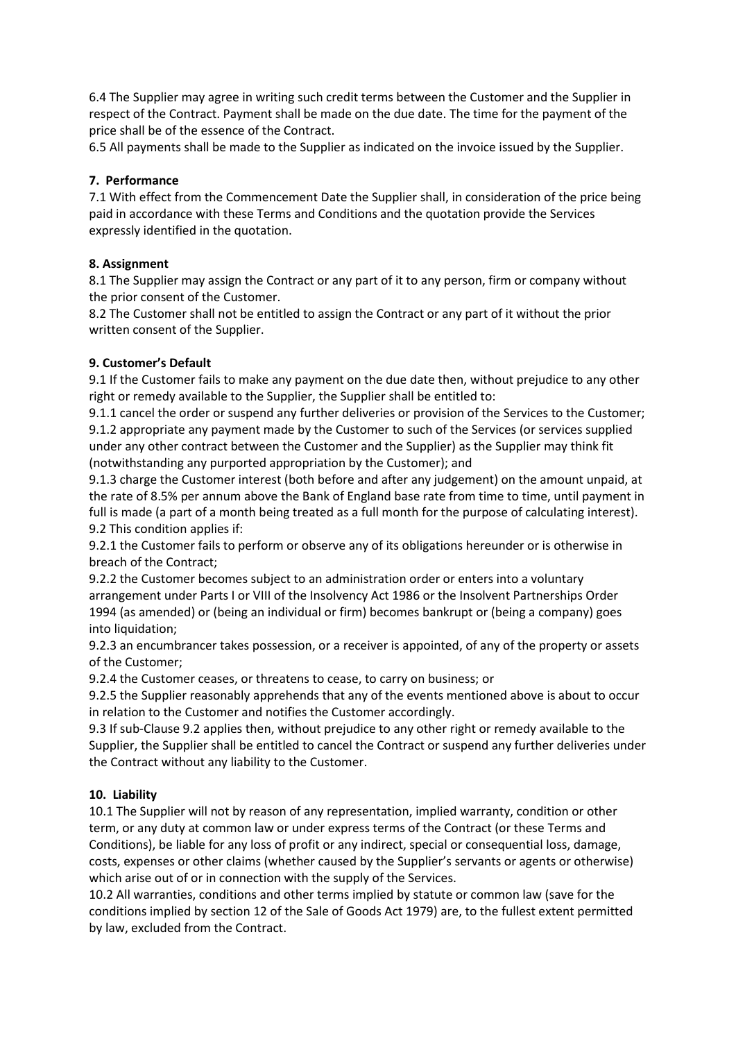6.4 The Supplier may agree in writing such credit terms between the Customer and the Supplier in respect of the Contract. Payment shall be made on the due date. The time for the payment of the price shall be of the essence of the Contract.

6.5 All payments shall be made to the Supplier as indicated on the invoice issued by the Supplier.

### **7. Performance**

7.1 With effect from the Commencement Date the Supplier shall, in consideration of the price being paid in accordance with these Terms and Conditions and the quotation provide the Services expressly identified in the quotation.

### **8. Assignment**

8.1 The Supplier may assign the Contract or any part of it to any person, firm or company without the prior consent of the Customer.

8.2 The Customer shall not be entitled to assign the Contract or any part of it without the prior written consent of the Supplier.

### **9. Customer's Default**

9.1 If the Customer fails to make any payment on the due date then, without prejudice to any other right or remedy available to the Supplier, the Supplier shall be entitled to:

9.1.1 cancel the order or suspend any further deliveries or provision of the Services to the Customer; 9.1.2 appropriate any payment made by the Customer to such of the Services (or services supplied under any other contract between the Customer and the Supplier) as the Supplier may think fit (notwithstanding any purported appropriation by the Customer); and

9.1.3 charge the Customer interest (both before and after any judgement) on the amount unpaid, at the rate of 8.5% per annum above the Bank of England base rate from time to time, until payment in full is made (a part of a month being treated as a full month for the purpose of calculating interest). 9.2 This condition applies if:

9.2.1 the Customer fails to perform or observe any of its obligations hereunder or is otherwise in breach of the Contract;

9.2.2 the Customer becomes subject to an administration order or enters into a voluntary arrangement under Parts I or VIII of the Insolvency Act 1986 or the Insolvent Partnerships Order 1994 (as amended) or (being an individual or firm) becomes bankrupt or (being a company) goes into liquidation;

9.2.3 an encumbrancer takes possession, or a receiver is appointed, of any of the property or assets of the Customer;

9.2.4 the Customer ceases, or threatens to cease, to carry on business; or

9.2.5 the Supplier reasonably apprehends that any of the events mentioned above is about to occur in relation to the Customer and notifies the Customer accordingly.

9.3 If sub-Clause 9.2 applies then, without prejudice to any other right or remedy available to the Supplier, the Supplier shall be entitled to cancel the Contract or suspend any further deliveries under the Contract without any liability to the Customer.

#### **10. Liability**

10.1 The Supplier will not by reason of any representation, implied warranty, condition or other term, or any duty at common law or under express terms of the Contract (or these Terms and Conditions), be liable for any loss of profit or any indirect, special or consequential loss, damage, costs, expenses or other claims (whether caused by the Supplier's servants or agents or otherwise) which arise out of or in connection with the supply of the Services.

10.2 All warranties, conditions and other terms implied by statute or common law (save for the conditions implied by section 12 of the Sale of Goods Act 1979) are, to the fullest extent permitted by law, excluded from the Contract.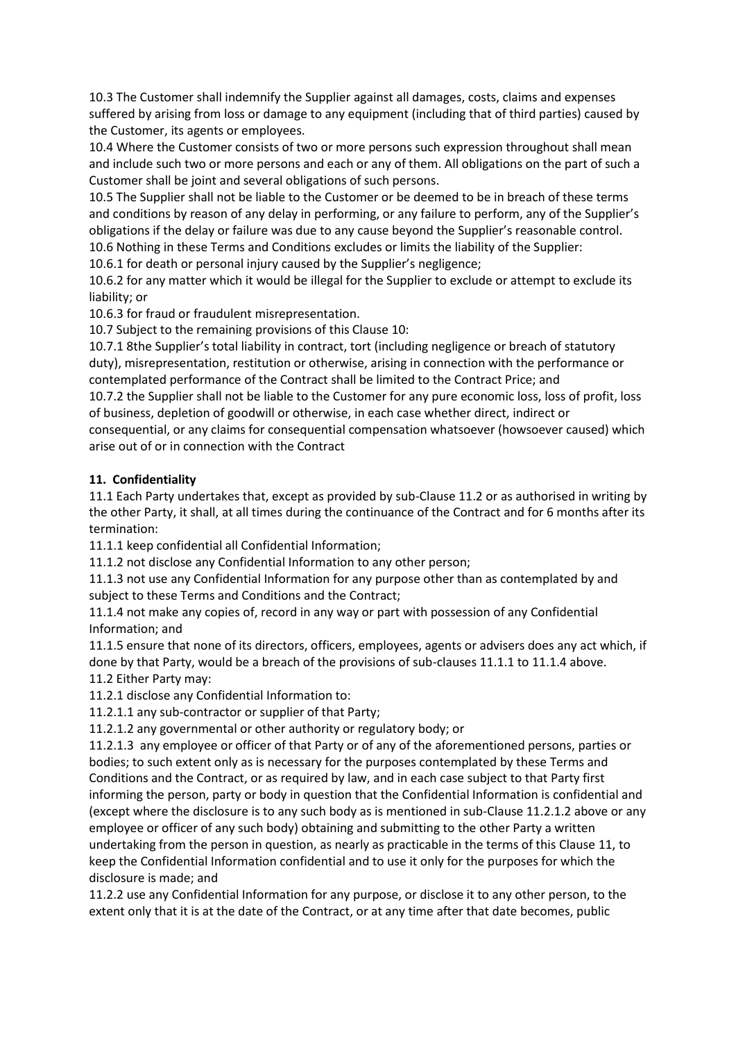10.3 The Customer shall indemnify the Supplier against all damages, costs, claims and expenses suffered by arising from loss or damage to any equipment (including that of third parties) caused by the Customer, its agents or employees.

10.4 Where the Customer consists of two or more persons such expression throughout shall mean and include such two or more persons and each or any of them. All obligations on the part of such a Customer shall be joint and several obligations of such persons.

10.5 The Supplier shall not be liable to the Customer or be deemed to be in breach of these terms and conditions by reason of any delay in performing, or any failure to perform, any of the Supplier's obligations if the delay or failure was due to any cause beyond the Supplier's reasonable control. 10.6 Nothing in these Terms and Conditions excludes or limits the liability of the Supplier:

10.6.1 for death or personal injury caused by the Supplier's negligence;

10.6.2 for any matter which it would be illegal for the Supplier to exclude or attempt to exclude its liability; or

10.6.3 for fraud or fraudulent misrepresentation.

10.7 Subject to the remaining provisions of this Clause 10:

10.7.1 8the Supplier's total liability in contract, tort (including negligence or breach of statutory duty), misrepresentation, restitution or otherwise, arising in connection with the performance or contemplated performance of the Contract shall be limited to the Contract Price; and

10.7.2 the Supplier shall not be liable to the Customer for any pure economic loss, loss of profit, loss of business, depletion of goodwill or otherwise, in each case whether direct, indirect or consequential, or any claims for consequential compensation whatsoever (howsoever caused) which

arise out of or in connection with the Contract

### **11. Confidentiality**

11.1 Each Party undertakes that, except as provided by sub-Clause 11.2 or as authorised in writing by the other Party, it shall, at all times during the continuance of the Contract and for 6 months after its termination:

11.1.1 keep confidential all Confidential Information;

11.1.2 not disclose any Confidential Information to any other person;

11.1.3 not use any Confidential Information for any purpose other than as contemplated by and subject to these Terms and Conditions and the Contract;

11.1.4 not make any copies of, record in any way or part with possession of any Confidential Information; and

11.1.5 ensure that none of its directors, officers, employees, agents or advisers does any act which, if done by that Party, would be a breach of the provisions of sub-clauses 11.1.1 to 11.1.4 above. 11.2 Either Party may:

11.2.1 disclose any Confidential Information to:

11.2.1.1 any sub-contractor or supplier of that Party;

11.2.1.2 any governmental or other authority or regulatory body; or

11.2.1.3 any employee or officer of that Party or of any of the aforementioned persons, parties or bodies; to such extent only as is necessary for the purposes contemplated by these Terms and Conditions and the Contract, or as required by law, and in each case subject to that Party first informing the person, party or body in question that the Confidential Information is confidential and (except where the disclosure is to any such body as is mentioned in sub-Clause 11.2.1.2 above or any employee or officer of any such body) obtaining and submitting to the other Party a written undertaking from the person in question, as nearly as practicable in the terms of this Clause 11, to keep the Confidential Information confidential and to use it only for the purposes for which the disclosure is made; and

11.2.2 use any Confidential Information for any purpose, or disclose it to any other person, to the extent only that it is at the date of the Contract, or at any time after that date becomes, public